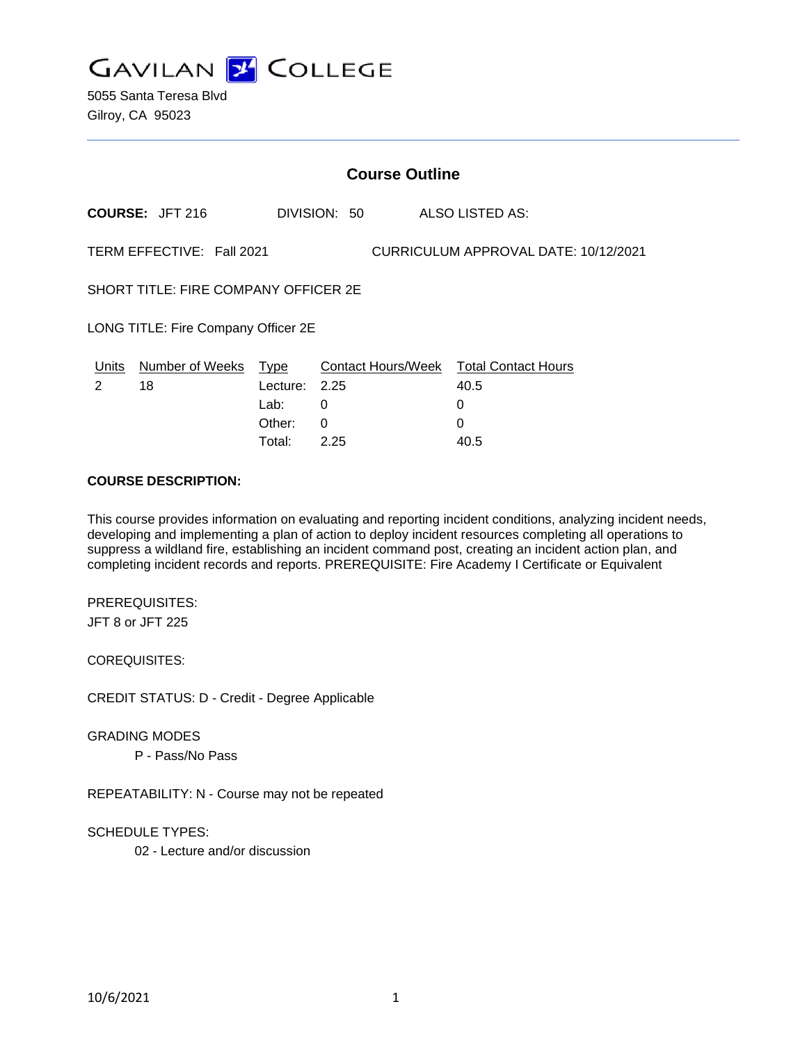

5055 Santa Teresa Blvd Gilroy, CA 95023

| <b>Course Outline</b>                                             |                        |          |              |                           |                            |
|-------------------------------------------------------------------|------------------------|----------|--------------|---------------------------|----------------------------|
|                                                                   | <b>COURSE: JFT 216</b> |          | DIVISION: 50 |                           | ALSO LISTED AS:            |
| TERM EFFECTIVE: Fall 2021<br>CURRICULUM APPROVAL DATE: 10/12/2021 |                        |          |              |                           |                            |
| SHORT TITLE: FIRE COMPANY OFFICER 2E                              |                        |          |              |                           |                            |
| LONG TITLE: Fire Company Officer 2E                               |                        |          |              |                           |                            |
| Units                                                             | Number of Weeks        | Type     |              | <b>Contact Hours/Week</b> | <b>Total Contact Hours</b> |
| 2                                                                 | 18                     | Lecture: | 2.25         |                           | 40.5                       |
|                                                                   |                        | Lab:     | 0            |                           | 0                          |
|                                                                   |                        | Other:   | $\Omega$     |                           | $\Omega$                   |
|                                                                   |                        | Total:   | 2.25         |                           | 40.5                       |

#### **COURSE DESCRIPTION:**

This course provides information on evaluating and reporting incident conditions, analyzing incident needs, developing and implementing a plan of action to deploy incident resources completing all operations to suppress a wildland fire, establishing an incident command post, creating an incident action plan, and completing incident records and reports. PREREQUISITE: Fire Academy I Certificate or Equivalent

PREREQUISITES: JFT 8 or JFT 225

COREQUISITES:

CREDIT STATUS: D - Credit - Degree Applicable

GRADING MODES

P - Pass/No Pass

REPEATABILITY: N - Course may not be repeated

SCHEDULE TYPES:

02 - Lecture and/or discussion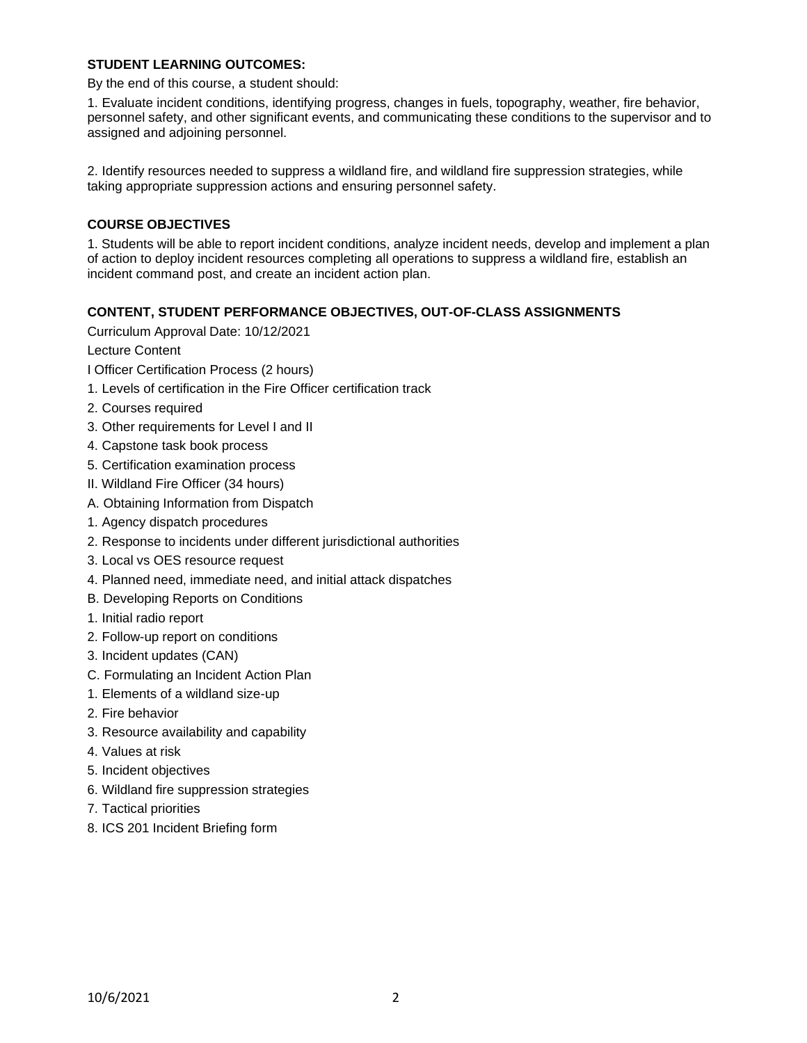## **STUDENT LEARNING OUTCOMES:**

By the end of this course, a student should:

1. Evaluate incident conditions, identifying progress, changes in fuels, topography, weather, fire behavior, personnel safety, and other significant events, and communicating these conditions to the supervisor and to assigned and adjoining personnel.

2. Identify resources needed to suppress a wildland fire, and wildland fire suppression strategies, while taking appropriate suppression actions and ensuring personnel safety.

# **COURSE OBJECTIVES**

1. Students will be able to report incident conditions, analyze incident needs, develop and implement a plan of action to deploy incident resources completing all operations to suppress a wildland fire, establish an incident command post, and create an incident action plan.

## **CONTENT, STUDENT PERFORMANCE OBJECTIVES, OUT-OF-CLASS ASSIGNMENTS**

Curriculum Approval Date: 10/12/2021

Lecture Content

I Officer Certification Process (2 hours)

- 1. Levels of certification in the Fire Officer certification track
- 2. Courses required
- 3. Other requirements for Level I and II
- 4. Capstone task book process
- 5. Certification examination process
- II. Wildland Fire Officer (34 hours)
- A. Obtaining Information from Dispatch
- 1. Agency dispatch procedures
- 2. Response to incidents under different jurisdictional authorities
- 3. Local vs OES resource request
- 4. Planned need, immediate need, and initial attack dispatches
- B. Developing Reports on Conditions
- 1. Initial radio report
- 2. Follow-up report on conditions
- 3. Incident updates (CAN)
- C. Formulating an Incident Action Plan
- 1. Elements of a wildland size-up
- 2. Fire behavior
- 3. Resource availability and capability
- 4. Values at risk
- 5. Incident objectives
- 6. Wildland fire suppression strategies
- 7. Tactical priorities
- 8. ICS 201 Incident Briefing form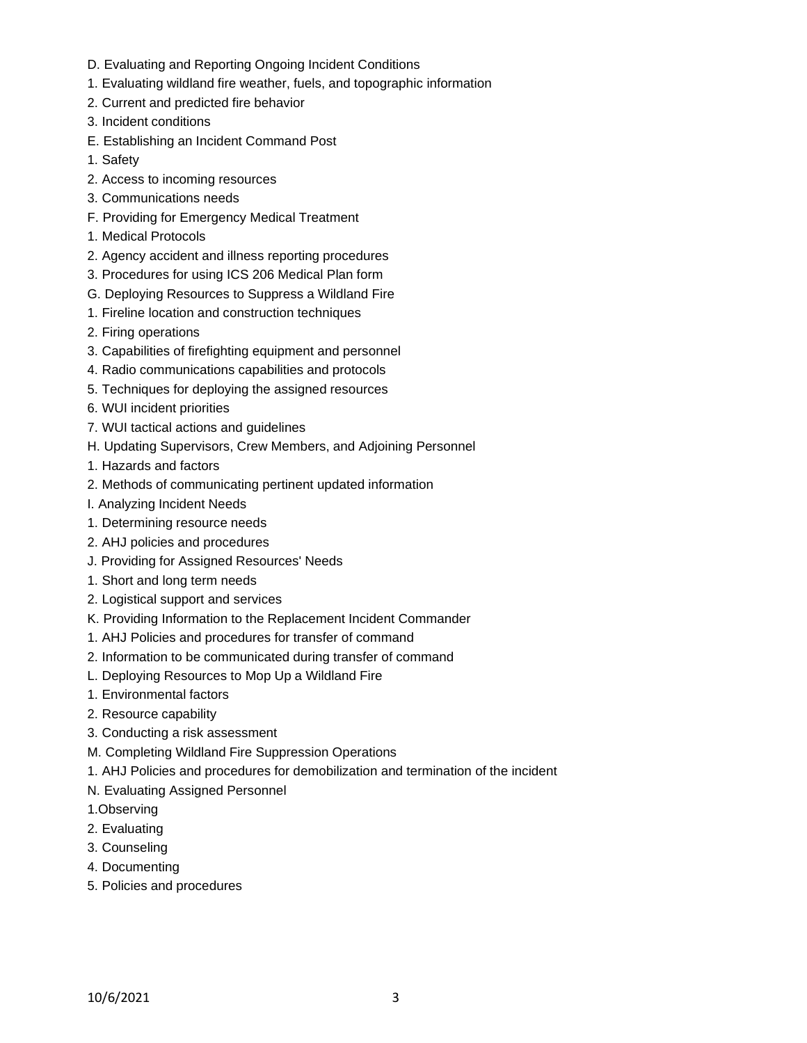- D. Evaluating and Reporting Ongoing Incident Conditions
- 1. Evaluating wildland fire weather, fuels, and topographic information
- 2. Current and predicted fire behavior
- 3. Incident conditions
- E. Establishing an Incident Command Post
- 1. Safety
- 2. Access to incoming resources
- 3. Communications needs
- F. Providing for Emergency Medical Treatment
- 1. Medical Protocols
- 2. Agency accident and illness reporting procedures
- 3. Procedures for using ICS 206 Medical Plan form
- G. Deploying Resources to Suppress a Wildland Fire
- 1. Fireline location and construction techniques
- 2. Firing operations
- 3. Capabilities of firefighting equipment and personnel
- 4. Radio communications capabilities and protocols
- 5. Techniques for deploying the assigned resources
- 6. WUI incident priorities
- 7. WUI tactical actions and guidelines
- H. Updating Supervisors, Crew Members, and Adjoining Personnel
- 1. Hazards and factors
- 2. Methods of communicating pertinent updated information
- I. Analyzing Incident Needs
- 1. Determining resource needs
- 2. AHJ policies and procedures
- J. Providing for Assigned Resources' Needs
- 1. Short and long term needs
- 2. Logistical support and services
- K. Providing Information to the Replacement Incident Commander
- 1. AHJ Policies and procedures for transfer of command
- 2. Information to be communicated during transfer of command
- L. Deploying Resources to Mop Up a Wildland Fire
- 1. Environmental factors
- 2. Resource capability
- 3. Conducting a risk assessment
- M. Completing Wildland Fire Suppression Operations
- 1. AHJ Policies and procedures for demobilization and termination of the incident
- N. Evaluating Assigned Personnel
- 1.Observing
- 2. Evaluating
- 3. Counseling
- 4. Documenting
- 5. Policies and procedures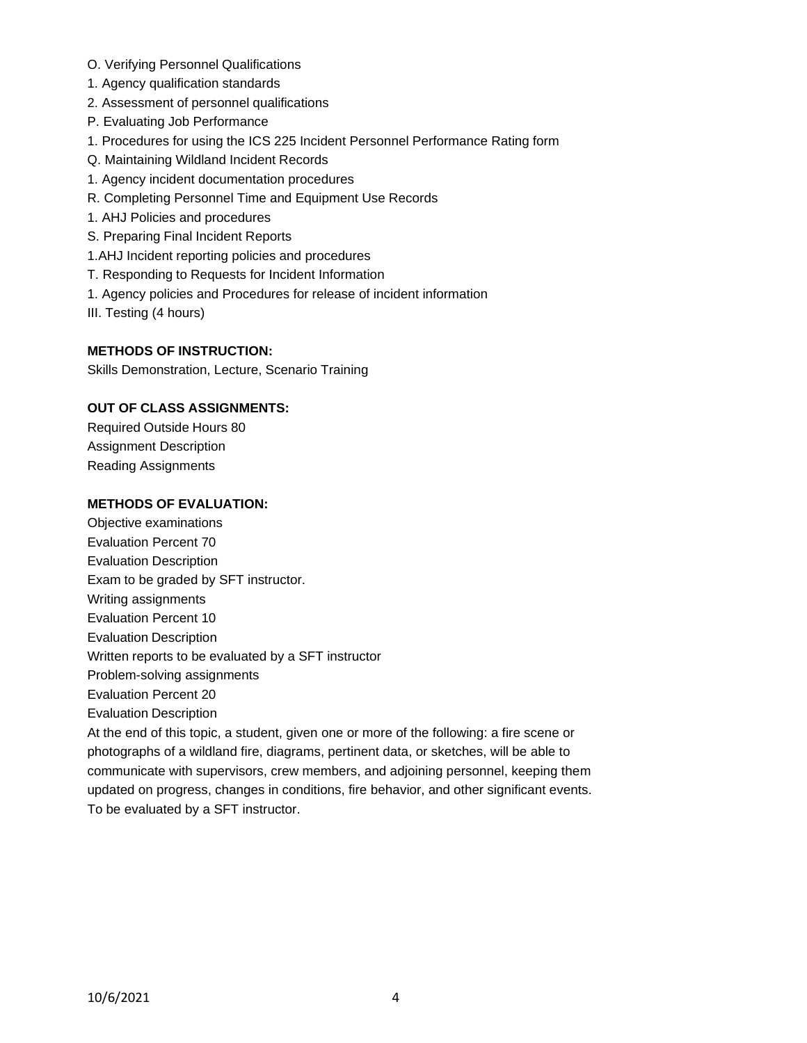- O. Verifying Personnel Qualifications
- 1. Agency qualification standards
- 2. Assessment of personnel qualifications
- P. Evaluating Job Performance
- 1. Procedures for using the ICS 225 Incident Personnel Performance Rating form
- Q. Maintaining Wildland Incident Records
- 1. Agency incident documentation procedures
- R. Completing Personnel Time and Equipment Use Records
- 1. AHJ Policies and procedures
- S. Preparing Final Incident Reports
- 1.AHJ Incident reporting policies and procedures
- T. Responding to Requests for Incident Information
- 1. Agency policies and Procedures for release of incident information
- III. Testing (4 hours)

## **METHODS OF INSTRUCTION:**

Skills Demonstration, Lecture, Scenario Training

# **OUT OF CLASS ASSIGNMENTS:**

Required Outside Hours 80 Assignment Description Reading Assignments

#### **METHODS OF EVALUATION:**

Objective examinations Evaluation Percent 70 Evaluation Description Exam to be graded by SFT instructor. Writing assignments Evaluation Percent 10 Evaluation Description Written reports to be evaluated by a SFT instructor Problem-solving assignments Evaluation Percent 20 Evaluation Description At the end of this topic, a student, given one or more of the following: a fire scene or photographs of a wildland fire, diagrams, pertinent data, or sketches, will be able to communicate with supervisors, crew members, and adjoining personnel, keeping them updated on progress, changes in conditions, fire behavior, and other significant events. To be evaluated by a SFT instructor.